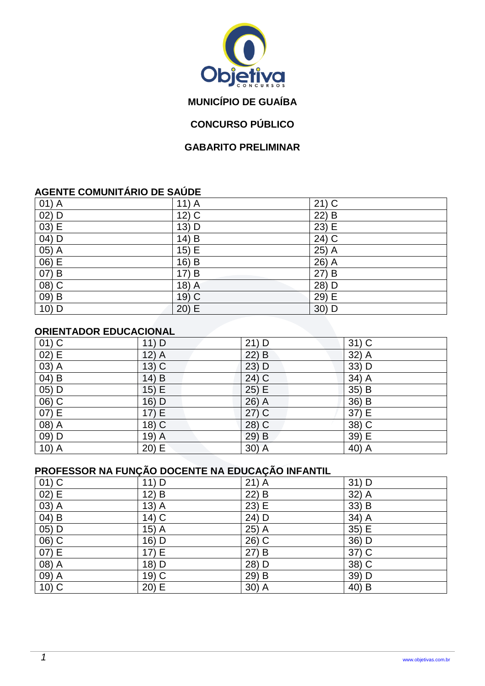

# **MUNICÍPIO DE GUAÍBA**

# **CONCURSO PÚBLICO**

#### **GABARITO PRELIMINAR**

### **AGENTE COMUNITÁRIO DE SAÚDE**

| $01)$ A  | $11)$ A               | $21)$ C                              |
|----------|-----------------------|--------------------------------------|
| $02)$ D  | $12)$ C               | $22\overline{\smash{)}\,\mathsf{B}}$ |
| $(03)$ E | 13) D                 | 23) E                                |
| 04) D    | 14)<br>$\overline{B}$ | $24)$ C                              |
| $05)$ A  | 15) E                 | 25) A                                |
| 06) E    | 16)<br>B              | 26) A                                |
| 07) B    | 17)<br>B              | $27)$ B                              |
| 08) C    | $18)$ A               | 28) D                                |
| $09)$ B  | $19)$ C               | 29) E                                |
| 10) D    | 20)<br>E              | $30)$ D                              |

### **ORIENTADOR EDUCACIONAL**

| $01)$ C  | $11)$ D | $21)$ D | $31)$ C |
|----------|---------|---------|---------|
| 02) E    | $12)$ A | $22)$ B | $32)$ A |
| $(03)$ A | $13)$ C | $23)$ D | 33) D   |
| 04) B    | $14)$ B | 24) C   | 34) A   |
| $05)$ D  | 15) E   | 25) E   | 35) B   |
| $06)$ C  | 16) D   | 26) A   | 36) B   |
| 07) E    | 17) E   | $27)$ C | 37) E   |
| 08) A    | 18) C   | 28) C   | 38) C   |
| $(09)$ D | $19)$ A | 29) B   | 39) E   |
| $10)$ A  | 20) E   | $30)$ A | 40) A   |

# **PROFESSOR NA FUNÇÃO DOCENTE NA EDUCAÇÃO INFANTIL**

| $01)$ C             | $11)$ D | $21)$ A | $31)$ D |
|---------------------|---------|---------|---------|
| 02) E               | $12)$ B | $22)$ B | 32) A   |
| 03) A               | $13)$ A | 23) E   | 33) B   |
| $\overline{04}$ B   | $14)$ C | 24) D   | $34)$ A |
| $05)$ D             | $15)$ A | 25) A   | 35) E   |
| $\overline{06}$ ) C | 16) D   | 26) C   | 36) D   |
| 07) E               | 17) E   | 27) B   | 37) C   |
| $(08)$ A            | 18) D   | 28) D   | $38)$ C |
| $09)$ A             | 19) C   | 29) B   | $39)$ D |
| $10)$ C             | 20) E   | $30)$ A | 40) B   |